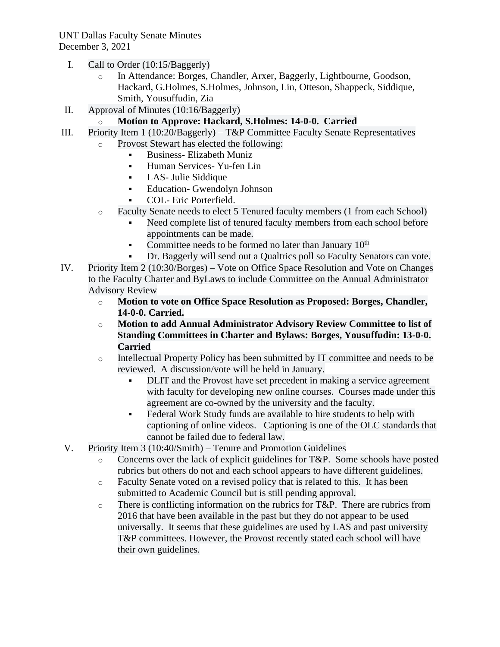- I. Call to Order (10:15/Baggerly)
	- o In Attendance: Borges, Chandler, Arxer, Baggerly, Lightbourne, Goodson, Hackard, G.Holmes, S.Holmes, Johnson, Lin, Otteson, Shappeck, Siddique, Smith, Yousuffudin, Zia
- II. Approval of Minutes (10:16/Baggerly)

## o **Motion to Approve: Hackard, S.Holmes: 14-0-0. Carried**

- III. Priority Item 1 (10:20/Baggerly) T&P Committee Faculty Senate Representatives
	- o Provost Stewart has elected the following:
		- Business- Elizabeth Muniz
		- Human Services- Yu-fen Lin
		- LAS- Julie Siddique
		- Education- Gwendolyn Johnson
		- COL- Eric Porterfield.
	- o Faculty Senate needs to elect 5 Tenured faculty members (1 from each School)
		- Need complete list of tenured faculty members from each school before appointments can be made.
		- Committee needs to be formed no later than January  $10<sup>th</sup>$
		- Dr. Baggerly will send out a Qualtrics poll so Faculty Senators can vote.
- IV. Priority Item 2 (10:30/Borges) Vote on Office Space Resolution and Vote on Changes to the Faculty Charter and ByLaws to include Committee on the Annual Administrator Advisory Review
	- o **Motion to vote on Office Space Resolution as Proposed: Borges, Chandler, 14-0-0. Carried.**
	- o **Motion to add Annual Administrator Advisory Review Committee to list of Standing Committees in Charter and Bylaws: Borges, Yousuffudin: 13-0-0. Carried**
	- o Intellectual Property Policy has been submitted by IT committee and needs to be reviewed. A discussion/vote will be held in January.
		- DLIT and the Provost have set precedent in making a service agreement with faculty for developing new online courses. Courses made under this agreement are co-owned by the university and the faculty.
		- **•** Federal Work Study funds are available to hire students to help with captioning of online videos. Captioning is one of the OLC standards that cannot be failed due to federal law.
- V. Priority Item 3 (10:40/Smith) Tenure and Promotion Guidelines
	- o Concerns over the lack of explicit guidelines for T&P. Some schools have posted rubrics but others do not and each school appears to have different guidelines.
	- o Faculty Senate voted on a revised policy that is related to this. It has been submitted to Academic Council but is still pending approval.
	- o There is conflicting information on the rubrics for T&P. There are rubrics from 2016 that have been available in the past but they do not appear to be used universally. It seems that these guidelines are used by LAS and past university T&P committees. However, the Provost recently stated each school will have their own guidelines.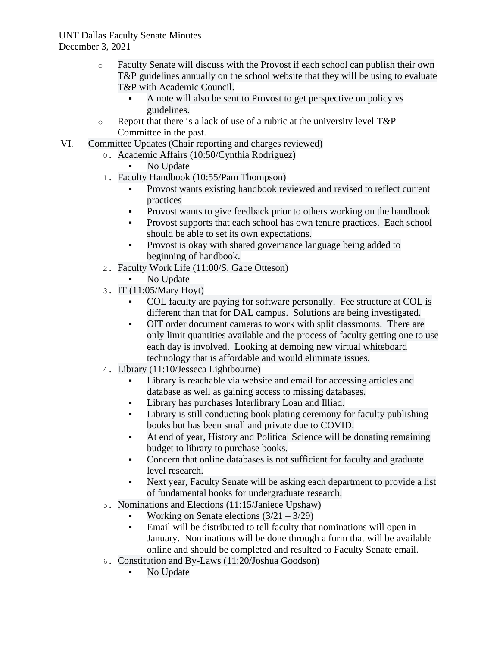- o Faculty Senate will discuss with the Provost if each school can publish their own T&P guidelines annually on the school website that they will be using to evaluate T&P with Academic Council.
	- A note will also be sent to Provost to get perspective on policy vs guidelines.
- o Report that there is a lack of use of a rubric at the university level T&P Committee in the past.
- VI. Committee Updates (Chair reporting and charges reviewed)
	- 0. Academic Affairs (10:50/Cynthia Rodriguez)
		- No Update
	- 1. Faculty Handbook (10:55/Pam Thompson)
		- Provost wants existing handbook reviewed and revised to reflect current practices
		- Provost wants to give feedback prior to others working on the handbook
		- Provost supports that each school has own tenure practices. Each school should be able to set its own expectations.
		- **•** Provost is okay with shared governance language being added to beginning of handbook.
	- 2. Faculty Work Life (11:00/S. Gabe Otteson)
		- No Update
	- 3. IT (11:05/Mary Hoyt)
		- COL faculty are paying for software personally. Fee structure at COL is different than that for DAL campus. Solutions are being investigated.
		- OIT order document cameras to work with split classrooms. There are only limit quantities available and the process of faculty getting one to use each day is involved. Looking at demoing new virtual whiteboard technology that is affordable and would eliminate issues.
	- 4. Library (11:10/Jesseca Lightbourne)
		- Library is reachable via website and email for accessing articles and database as well as gaining access to missing databases.
		- Library has purchases Interlibrary Loan and Illiad.
		- Library is still conducting book plating ceremony for faculty publishing books but has been small and private due to COVID.
		- At end of year, History and Political Science will be donating remaining budget to library to purchase books.
		- Concern that online databases is not sufficient for faculty and graduate level research.
		- **•** Next year, Faculty Senate will be asking each department to provide a list of fundamental books for undergraduate research.
	- 5. Nominations and Elections (11:15/Janiece Upshaw)
		- Working on Senate elections  $(3/21 3/29)$
		- **Email will be distributed to tell faculty that nominations will open in** January. Nominations will be done through a form that will be available online and should be completed and resulted to Faculty Senate email.
	- 6. Constitution and By-Laws (11:20/Joshua Goodson)
		- No Update